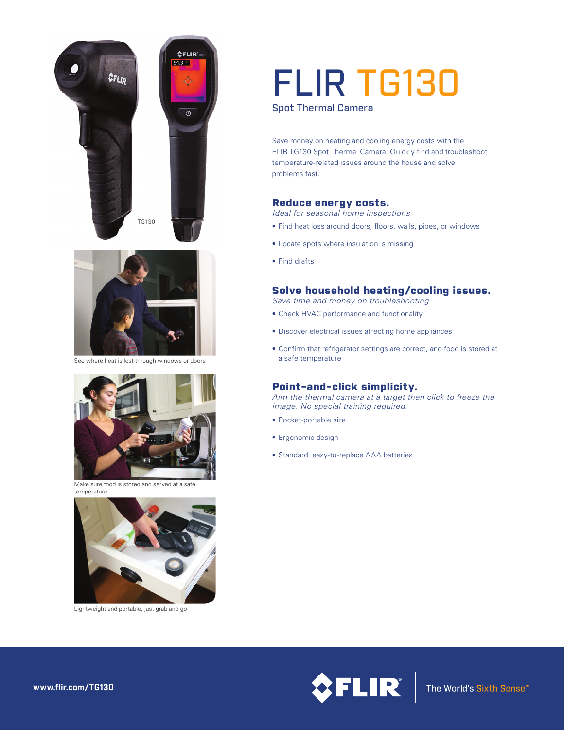



See where heat is lost through windows or doors



Make sure food is stored and served at a safe temperature



Lightweight and portable, just grab and go

# FLIR TG130

Spot Thermal Camera

Save money on heating and cooling energy costs with the FLIR TG130 Spot Thermal Camera. Quickly find and troubleshoot temperature-related issues around the house and solve problems fast.

## Reduce energy costs.

*Ideal for seasonal home inspections*

- Find heat loss around doors, floors, walls, pipes, or windows
- Locate spots where insulation is missing
- Find drafts

# Solve household heating/cooling issues.

- *Save time and money on troubleshooting* • Check HVAC performance and functionality
- 
- Discover electrical issues affecting home appliances
- Confirm that refrigerator settings are correct, and food is stored at a safe temperature

# Point-and-click simplicity.

*Aim the thermal camera at a target then click to freeze the image. No special training required.*

- Pocket-portable size
- Ergonomic design
- Standard, easy-to-replace AAA batteries